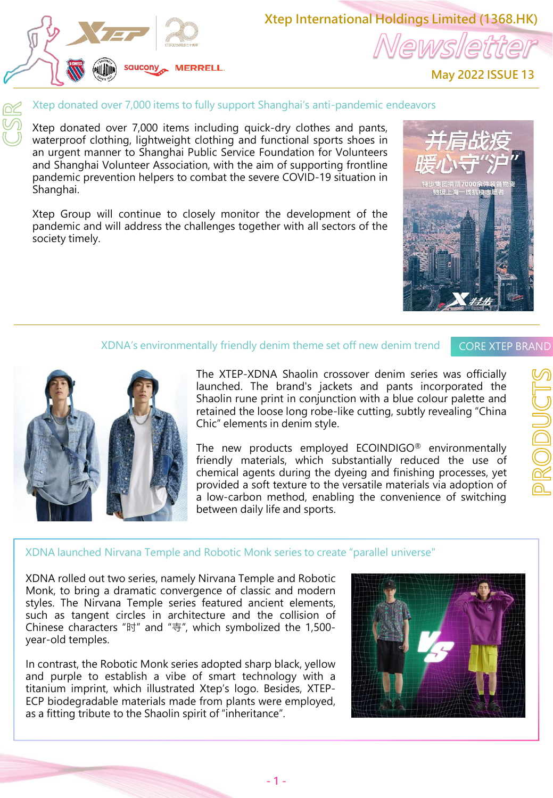

**Xtep International Holdings Limited (1368.HK)** lewslett

**May 2022 ISSUE 13**

### Xtep donated over 7,000 items to fully support Shanghai's anti-pandemic endeavors

Xtep donated over 7,000 items including quick-dry clothes and pants, waterproof clothing, lightweight clothing and functional sports shoes in an urgent manner to Shanghai Public Service Foundation for Volunteers and Shanghai Volunteer Association, with the aim of supporting frontline pandemic prevention helpers to combat the severe COVID-19 situation in Shanghai.

Xtep Group will continue to closely monitor the development of the pandemic and will address the challenges together with all sectors of the society timely.

#### XDNA's environmentally friendly denim theme set off new denim trend

### CORE XTEP BRAND



The XTEP-XDNA Shaolin crossover denim series was officially launched. The brand's jackets and pants incorporated the Shaolin rune print in conjunction with a blue colour palette and retained the loose long robe-like cutting, subtly revealing "China Chic" elements in denim style.

The new products employed ECOINDIGO® environmentally friendly materials, which substantially reduced the use of chemical agents during the dyeing and finishing processes, yet provided a soft texture to the versatile materials via adoption of a low-carbon method, enabling the convenience of switching between daily life and sports.

## XDNA launched Nirvana Temple and Robotic Monk series to create "parallel universe"

XDNA rolled out two series, namely Nirvana Temple and Robotic Monk, to bring a dramatic convergence of classic and modern styles. The Nirvana Temple series featured ancient elements, such as tangent circles in architecture and the collision of Chinese characters "时" and "寺", which symbolized the 1,500 year-old temples.

In contrast, the Robotic Monk series adopted sharp black, yellow and purple to establish a vibe of smart technology with a titanium imprint, which illustrated Xtep's logo. Besides, XTEP-ECP biodegradable materials made from plants were employed, as a fitting tribute to the Shaolin spirit of "inheritance".